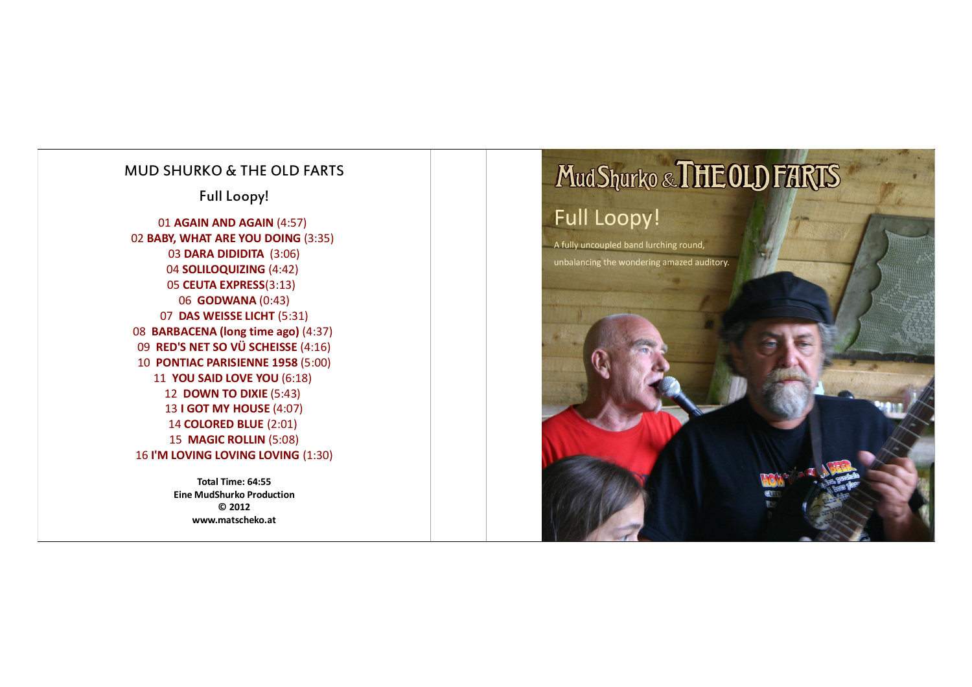## MUD SHURKO & THE OLD FARTS

Full Loopy!

**AGAIN AND AGAIN** (4:57) **BABY, WHAT ARE YOU DOING** (3:35) **DARA DIDIDITA** (3:06) **SOLILOQUIZING** (4:42) **CEUTA EXPRESS**(3:13) **GODWANA** (0:43) **DAS WEISSE LICHT** (5:31) **BARBACENA (long time ago)** (4:37) **RED'S NET SO VÜ SCHEISSE** (4:16) **PONTIAC PARISIENNE 1958** (5:00) **YOU SAID LOVE YOU** (6:18) **DOWN TO DIXIE** (5:43) **I GOT MY HOUSE** (4:07) **COLORED BLUE** (2:01) **MAGIC ROLLIN** (5:08) 16 I'M LOVING LOVING LOVING (1:30)

> **Total Time: 64:55 Eine MudShurko Production © 2012 www.matscheko.at**

# Mud Shurko & THE OLD FARTS

## **Full Loopy!**

A fully uncoupled band lurching round, unbalancing the wondering amazed auditory.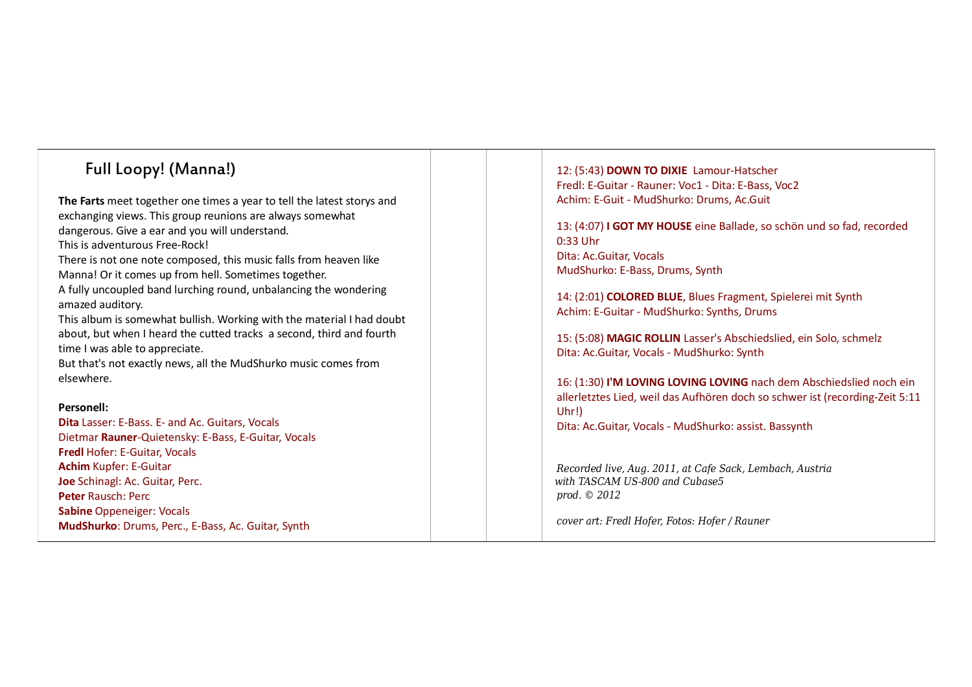## Full Loopy! (Manna!)

**The Farts** meet together one times a year to tell the latest storys and exchanging views. This group reunions are always somewhat dangerous. Give a ear and you will understand. This is adventurous Free-Rock! There is not one note composed, this music falls from heaven like Manna! Or it comes up from hell. Sometimes together.

A fully uncoupled band lurching round, unbalancing the wondering amazed auditory.

This album is somewhat bullish. Working with the material I had doubt about, but when I heard the cutted tracks a second, third and fourth time I was able to appreciate.

But that's not exactly news, all the MudShurko music comes from elsewhere.

#### **Personell:**

**Dita** Lasser: E-Bass. E- and Ac. Guitars, Vocals Dietmar **Rauner**-Quietensky: E-Bass, E-Guitar, Vocals **Fredl** Hofer: E-Guitar, Vocals **Achim** Kupfer: E-Guitar **Joe** Schinagl: Ac. Guitar, Perc. **Peter** Rausch: Perc **Sabine** Oppeneiger: Vocals **MudShurko**: Drums, Perc., E-Bass, Ac. Guitar, Synth

12: (5:43) **DOWN TO DIXIE** Lamour-Hatscher Fredl: E-Guitar - Rauner: Voc1 - Dita: E-Bass, Voc2 Achim: E-Guit - MudShurko: Drums, Ac.Guit

13: (4:07) **I GOT MY HOUSE** eine Ballade, so schön und so fad, recorded 0:33 Uhr Dita: Ac.Guitar, Vocals MudShurko: E-Bass, Drums, Synth

14: (2:01) **COLORED BLUE**, Blues Fragment, Spielerei mit Synth Achim: E-Guitar - MudShurko: Synths, Drums

15: (5:08) **MAGIC ROLLIN** Lasser's Abschiedslied, ein Solo, schmelz Dita: Ac.Guitar, Vocals - MudShurko: Synth

16: (1:30) **I'M LOVING LOVING LOVING** nach dem Abschiedslied noch ein allerletztes Lied, weil das Aufhören doch so schwer ist (recording-Zeit 5:11 Uhr!)

Dita: Ac.Guitar, Vocals - MudShurko: assist. Bassynth

*Recorded live, Aug. 2011, at Cafe Sack, Lembach, Austria with TASCAM US-800 and Cubase5 prod. © 2012*

*cover art: Fredl Hofer, Fotos: Hofer / Rauner*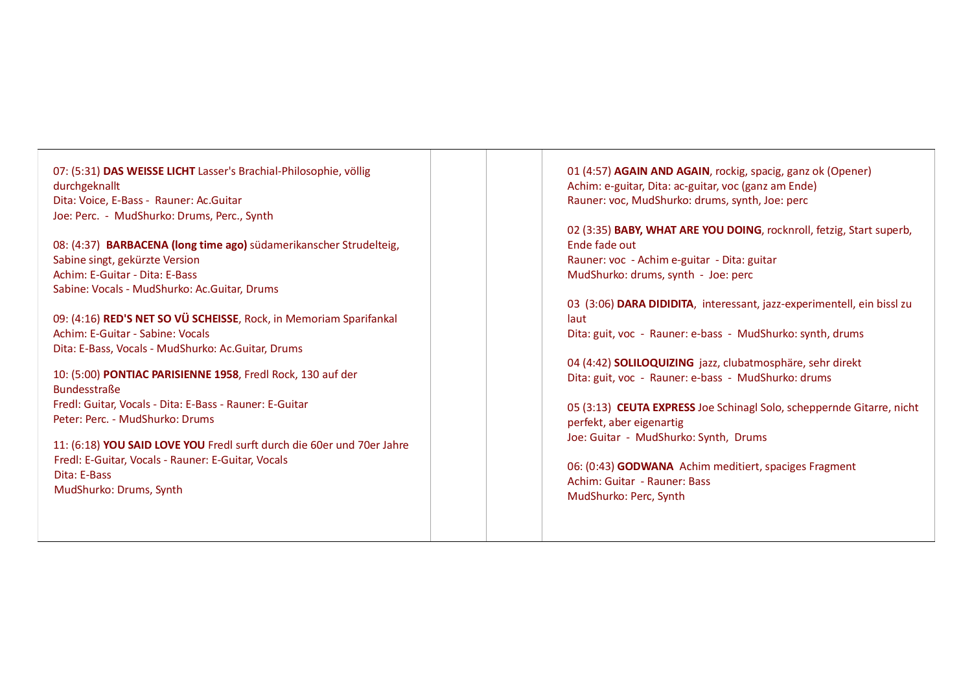## 07: (5:31) **DAS WEISSE LICHT** Lasser's Brachial-Philosophie, völlig durchgeknallt Dita: Voice, E-Bass - Rauner: Ac.Guitar Joe: Perc. - MudShurko: Drums, Perc., Synth

08: (4:37) **BARBACENA (long time ago)** südamerikanscher Strudelteig, Sabine singt, gekürzte Version Achim: E-Guitar - Dita: E-Bass Sabine: Vocals - MudShurko: Ac.Guitar, Drums

09: (4:16) **RED'S NET SO VÜ SCHEISSE**, Rock, in Memoriam Sparifankal Achim: E-Guitar - Sabine: Vocals Dita: E-Bass, Vocals - MudShurko: Ac.Guitar, Drums

### 10: (5:00) **PONTIAC PARISIENNE 1958**, Fredl Rock, 130 auf der Bundesstraße Fredl: Guitar, Vocals - Dita: E-Bass - Rauner: E-Guitar Peter: Perc. - MudShurko: Drums

11: (6:18) **YOU SAID LOVE YOU** Fredl surft durch die 60er und 70er Jahre Fredl: E-Guitar, Vocals - Rauner: E-Guitar, Vocals Dita: E-Bass MudShurko: Drums, Synth

01 (4:57) **AGAIN AND AGAIN**, rockig, spacig, ganz ok (Opener) Achim: e-guitar, Dita: ac-guitar, voc (ganz am Ende) Rauner: voc, MudShurko: drums, synth, Joe: perc

02 (3:35) **BABY, WHAT ARE YOU DOING**, rocknroll, fetzig, Start superb, Ende fade out Rauner: voc - Achim e-guitar - Dita: guitar MudShurko: drums, synth - Joe: perc

03 (3:06) **DARA DIDIDITA**, interessant, jazz-experimentell, ein bissl zu laut Dita: guit, voc - Rauner: e-bass - MudShurko: synth, drums

04 (4:42) **SOLILOQUIZING** jazz, clubatmosphäre, sehr direkt Dita: guit, voc - Rauner: e-bass - MudShurko: drums

05 (3:13) **CEUTA EXPRESS** Joe Schinagl Solo, scheppernde Gitarre, nicht perfekt, aber eigenartig Joe: Guitar - MudShurko: Synth, Drums

06: (0:43) **GODWANA** Achim meditiert, spaciges Fragment Achim: Guitar - Rauner: Bass MudShurko: Perc, Synth